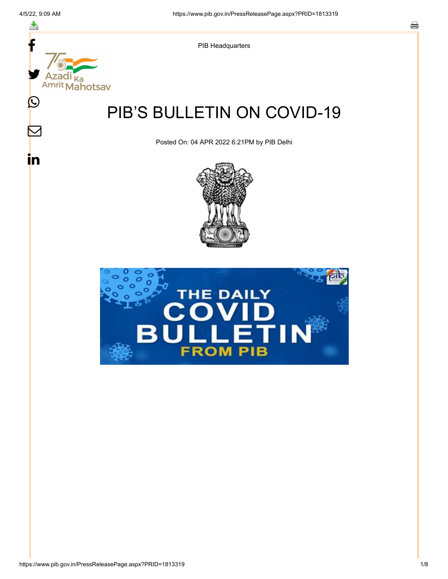f

≛

y.

Ka

 $\bigcirc$ 

 $\mathbb{\mathsf{M}}$ 

in



# PIB'S BULLETIN ON COVID-19

Posted On: 04 APR 2022 6:21PM by PIB Delhi



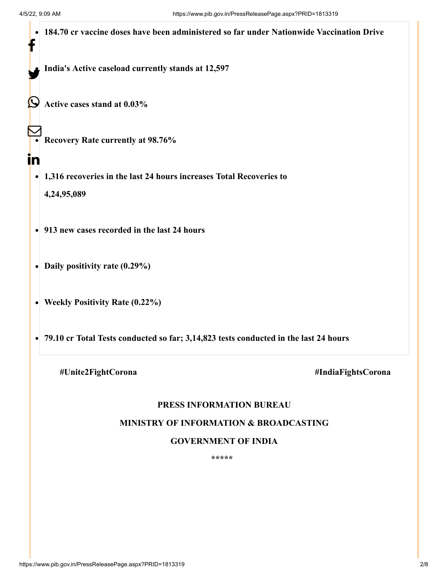|                                               |    | 184.70 cr vaccine doses have been administered so far under Nationwide Vaccination Drive |  |  |
|-----------------------------------------------|----|------------------------------------------------------------------------------------------|--|--|
|                                               |    | India's Active caseload currently stands at 12,597                                       |  |  |
|                                               |    | Active cases stand at 0.03%                                                              |  |  |
|                                               |    | <b>Recovery Rate currently at 98.76%</b>                                                 |  |  |
|                                               | in |                                                                                          |  |  |
|                                               |    | 1,316 recoveries in the last 24 hours increases Total Recoveries to                      |  |  |
|                                               |    | 4,24,95,089                                                                              |  |  |
| • 913 new cases recorded in the last 24 hours |    |                                                                                          |  |  |
|                                               |    | Daily positivity rate (0.29%)                                                            |  |  |
|                                               |    | <b>Weekly Positivity Rate (0.22%)</b>                                                    |  |  |
|                                               |    | 79.10 cr Total Tests conducted so far; 3,14,823 tests conducted in the last 24 hours     |  |  |
|                                               |    | #Unite2FightCorona<br>#IndiaFightsCorona                                                 |  |  |

# **PRESS INFORMATION BUREAU**

# **MINISTRY OF INFORMATION & BROADCASTING**

## **GOVERNMENT OF INDIA**

**\*\*\*\*\***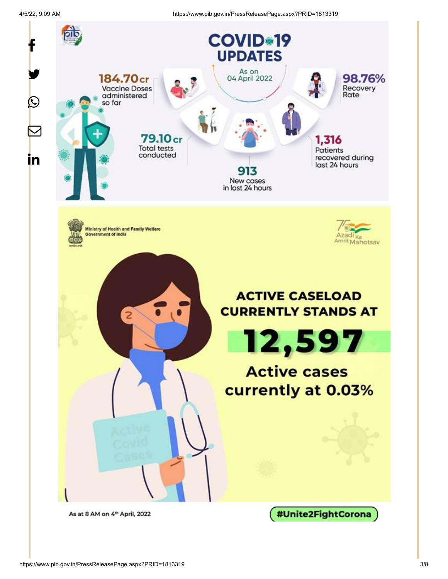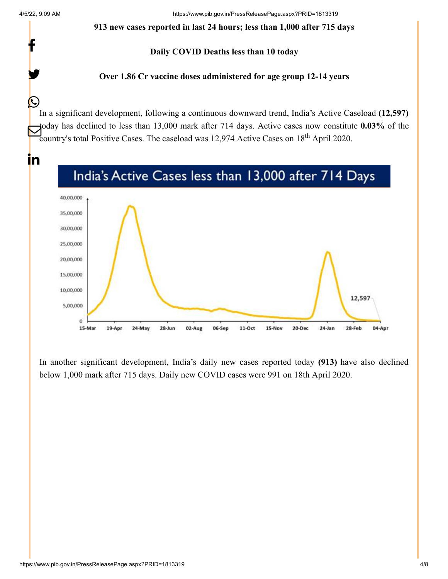f

y.

C

#### **913 new cases reported in last 24 hours; less than 1,000 after 715 days**

## **Daily COVID Deaths less than 10 today**

## **Over 1.86 Cr vaccine doses administered for age group 12-14 years**

In a significant development, following a continuous downward trend, India's Active Caseload **(12,597)** today has declined to less than 13,000 mark after 714 days. Active cases now constitute **0.03%** of the  $\bigcup_{\text{c} \text{country's total Positive Cases}}$  Country's total Positive Cases. The case load was 12,974 Active Cases on 18<sup>th</sup> April 2020.





In another significant development, India's daily new cases reported today **(913)** have also declined below 1,000 mark after 715 days. Daily new COVID cases were 991 on 18th April 2020.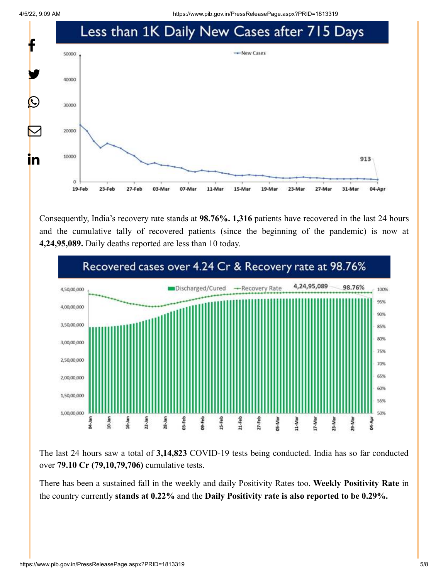

Consequently, India's recovery rate stands at **98.76%. 1,316** patients have recovered in the last 24 hours and the cumulative tally of recovered patients (since the beginning of the pandemic) is now at **4,24,95,089.** Daily deaths reported are less than 10 today.



The last 24 hours saw a total of **3,14,823** COVID-19 tests being conducted. India has so far conducted over **79.10 Cr (79,10,79,706)** cumulative tests.

There has been a sustained fall in the weekly and daily Positivity Rates too. **Weekly Positivity Rate** in the country currently **stands at 0.22%** and the **Daily Positivity rate is also reported to be 0.29%.**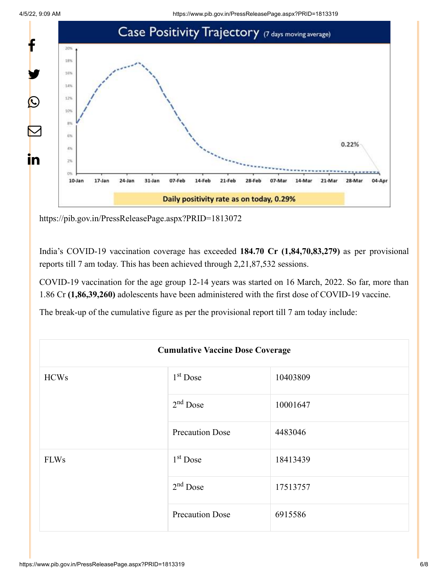

<https://pib.gov.in/PressReleasePage.aspx?PRID=1813072>

India's COVID-19 vaccination coverage has exceeded **184.70 Cr (1,84,70,83,279)** as per provisional reports till 7 am today. This has been achieved through 2,21,87,532 sessions.

COVID-19 vaccination for the age group 12-14 years was started on 16 March, 2022. So far, more than 1.86 Cr **(1,86,39,260)** adolescents have been administered with the first dose of COVID-19 vaccine.

The break-up of the cumulative figure as per the provisional report till 7 am today include:

|             | <b>Cumulative Vaccine Dose Coverage</b> |          |  |
|-------------|-----------------------------------------|----------|--|
| <b>HCWs</b> | $1st$ Dose                              | 10403809 |  |
|             | $2nd$ Dose                              | 10001647 |  |
|             | <b>Precaution Dose</b>                  | 4483046  |  |
| <b>FLWs</b> | $1st$ Dose                              | 18413439 |  |
|             | $2nd$ Dose                              | 17513757 |  |
|             | <b>Precaution Dose</b>                  | 6915586  |  |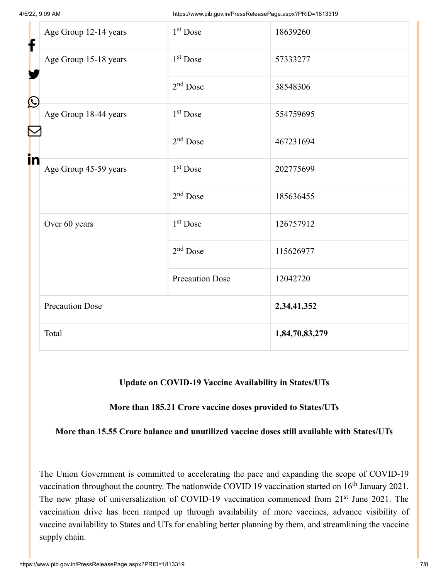| f            | Age Group 12-14 years                          | $1st$ Dose             | 18639260       |
|--------------|------------------------------------------------|------------------------|----------------|
| $\bf \Omega$ | Age Group 15-18 years                          | $1st$ Dose             | 57333277       |
|              |                                                | $2nd$ Dose             | 38548306       |
|              | Age Group 18-44 years<br>Age Group 45-59 years | $1st$ Dose             | 554759695      |
|              |                                                | $2nd$ Dose             | 467231694      |
| in           |                                                | $1st$ Dose             | 202775699      |
|              |                                                | $2nd$ Dose             | 185636455      |
|              | Over 60 years                                  | $1st$ Dose             | 126757912      |
|              |                                                | $2nd$ Dose             | 115626977      |
|              |                                                | <b>Precaution Dose</b> | 12042720       |
|              | <b>Precaution Dose</b>                         |                        | 2,34,41,352    |
|              | Total                                          |                        | 1,84,70,83,279 |

# **Update on COVID-19 Vaccine Availability in States/UTs**

**More than 185.21 Crore vaccine doses provided to States/UTs**

**More than 15.55 Crore balance and unutilized vaccine doses still available with States/UTs**

The Union Government is committed to accelerating the pace and expanding the scope of COVID-19 vaccination throughout the country. The nationwide COVID 19 vaccination started on  $16<sup>th</sup>$  January 2021. The new phase of universalization of COVID-19 vaccination commenced from 21<sup>st</sup> June 2021. The vaccination drive has been ramped up through availability of more vaccines, advance visibility of vaccine availability to States and UTs for enabling better planning by them, and streamlining the vaccine supply chain.